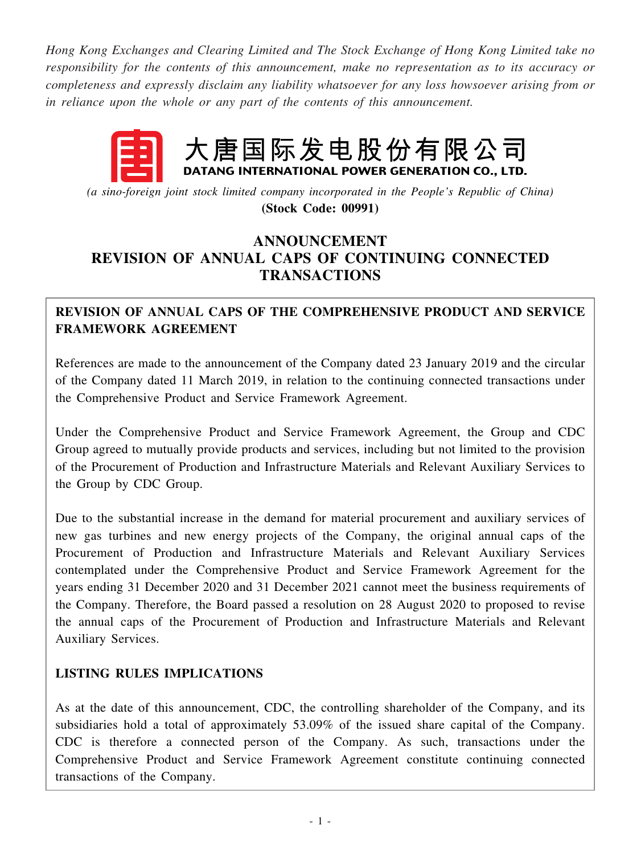*Hong Kong Exchanges and Clearing Limited and The Stock Exchange of Hong Kong Limited take no responsibility for the contents of this announcement, make no representation as to its accuracy or completeness and expressly disclaim any liability whatsoever for any loss howsoever arising from or in reliance upon the whole or any part of the contents of this announcement.*

# 大唐国际发电股份有限公 DATANG INTERNATIONAL POWER GENERATION CO., LTD.

*(a sino-foreign joint stock limited company incorporated in the People's Republic of China)* **(Stock Code: 00991)**

# **ANNOUNCEMENT REVISION OF ANNUAL CAPS OF CONTINUING CONNECTED TRANSACTIONS**

## **REVISION OF ANNUAL CAPS OF THE COMPREHENSIVE PRODUCT AND SERVICE FRAMEWORK AGREEMENT**

References are made to the announcement of the Company dated 23 January 2019 and the circular of the Company dated 11 March 2019, in relation to the continuing connected transactions under the Comprehensive Product and Service Framework Agreement.

Under the Comprehensive Product and Service Framework Agreement, the Group and CDC Group agreed to mutually provide products and services, including but not limited to the provision of the Procurement of Production and Infrastructure Materials and Relevant Auxiliary Services to the Group by CDC Group.

Due to the substantial increase in the demand for material procurement and auxiliary services of new gas turbines and new energy projects of the Company, the original annual caps of the Procurement of Production and Infrastructure Materials and Relevant Auxiliary Services contemplated under the Comprehensive Product and Service Framework Agreement for the years ending 31 December 2020 and 31 December 2021 cannot meet the business requirements of the Company. Therefore, the Board passed a resolution on 28 August 2020 to proposed to revise the annual caps of the Procurement of Production and Infrastructure Materials and Relevant Auxiliary Services.

## **LISTING RULES IMPLICATIONS**

As at the date of this announcement, CDC, the controlling shareholder of the Company, and its subsidiaries hold a total of approximately 53.09% of the issued share capital of the Company. CDC is therefore a connected person of the Company. As such, transactions under the Comprehensive Product and Service Framework Agreement constitute continuing connected transactions of the Company.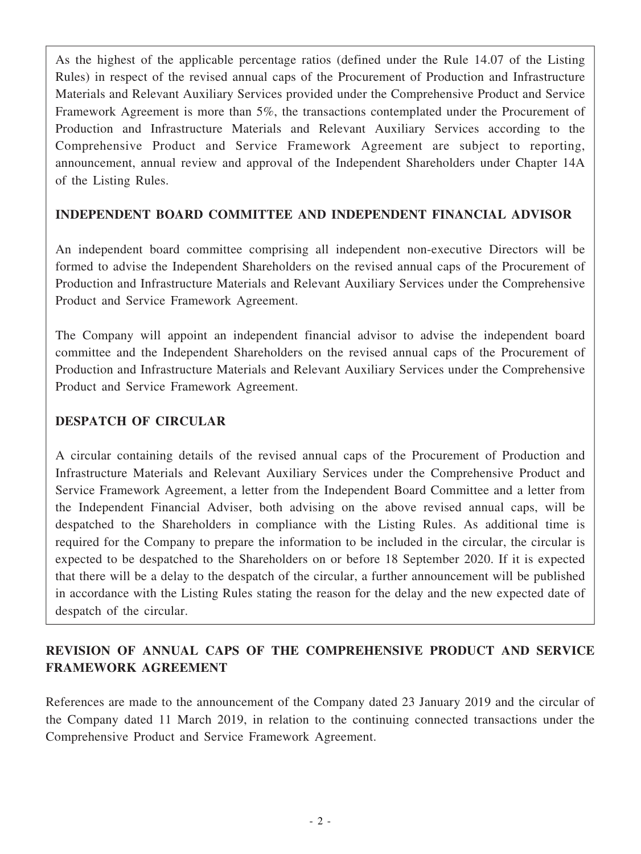As the highest of the applicable percentage ratios (defined under the Rule 14.07 of the Listing Rules) in respect of the revised annual caps of the Procurement of Production and Infrastructure Materials and Relevant Auxiliary Services provided under the Comprehensive Product and Service Framework Agreement is more than 5%, the transactions contemplated under the Procurement of Production and Infrastructure Materials and Relevant Auxiliary Services according to the Comprehensive Product and Service Framework Agreement are subject to reporting, announcement, annual review and approval of the Independent Shareholders under Chapter 14A of the Listing Rules.

## **INDEPENDENT BOARD COMMITTEE AND INDEPENDENT FINANCIAL ADVISOR**

An independent board committee comprising all independent non-executive Directors will be formed to advise the Independent Shareholders on the revised annual caps of the Procurement of Production and Infrastructure Materials and Relevant Auxiliary Services under the Comprehensive Product and Service Framework Agreement.

The Company will appoint an independent financial advisor to advise the independent board committee and the Independent Shareholders on the revised annual caps of the Procurement of Production and Infrastructure Materials and Relevant Auxiliary Services under the Comprehensive Product and Service Framework Agreement.

#### **DESPATCH OF CIRCULAR**

A circular containing details of the revised annual caps of the Procurement of Production and Infrastructure Materials and Relevant Auxiliary Services under the Comprehensive Product and Service Framework Agreement, a letter from the Independent Board Committee and a letter from the Independent Financial Adviser, both advising on the above revised annual caps, will be despatched to the Shareholders in compliance with the Listing Rules. As additional time is required for the Company to prepare the information to be included in the circular, the circular is expected to be despatched to the Shareholders on or before 18 September 2020. If it is expected that there will be a delay to the despatch of the circular, a further announcement will be published in accordance with the Listing Rules stating the reason for the delay and the new expected date of despatch of the circular.

## **REVISION OF ANNUAL CAPS OF THE COMPREHENSIVE PRODUCT AND SERVICE FRAMEWORK AGREEMENT**

References are made to the announcement of the Company dated 23 January 2019 and the circular of the Company dated 11 March 2019, in relation to the continuing connected transactions under the Comprehensive Product and Service Framework Agreement.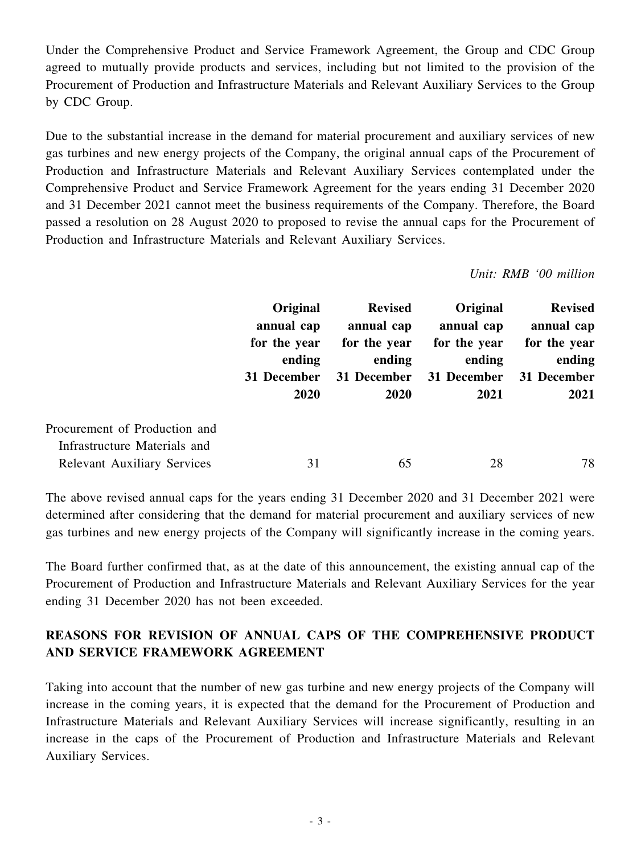Under the Comprehensive Product and Service Framework Agreement, the Group and CDC Group agreed to mutually provide products and services, including but not limited to the provision of the Procurement of Production and Infrastructure Materials and Relevant Auxiliary Services to the Group by CDC Group.

Due to the substantial increase in the demand for material procurement and auxiliary services of new gas turbines and new energy projects of the Company, the original annual caps of the Procurement of Production and Infrastructure Materials and Relevant Auxiliary Services contemplated under the Comprehensive Product and Service Framework Agreement for the years ending 31 December 2020 and 31 December 2021 cannot meet the business requirements of the Company. Therefore, the Board passed a resolution on 28 August 2020 to proposed to revise the annual caps for the Procurement of Production and Infrastructure Materials and Relevant Auxiliary Services.

*Unit: RMB '00 million*

|                                                               | Original<br>annual cap<br>for the year<br>ending<br>31 December<br>2020 | <b>Revised</b><br>annual cap<br>for the year<br>ending<br>31 December<br><b>2020</b> | Original<br>annual cap<br>for the year<br>ending<br>31 December<br>2021 | <b>Revised</b><br>annual cap<br>for the year<br>ending<br>31 December<br>2021 |
|---------------------------------------------------------------|-------------------------------------------------------------------------|--------------------------------------------------------------------------------------|-------------------------------------------------------------------------|-------------------------------------------------------------------------------|
| Procurement of Production and<br>Infrastructure Materials and |                                                                         |                                                                                      |                                                                         |                                                                               |
| <b>Relevant Auxiliary Services</b>                            | 31                                                                      | 65                                                                                   | 28                                                                      | 78                                                                            |

The above revised annual caps for the years ending 31 December 2020 and 31 December 2021 were determined after considering that the demand for material procurement and auxiliary services of new gas turbines and new energy projects of the Company will significantly increase in the coming years.

The Board further confirmed that, as at the date of this announcement, the existing annual cap of the Procurement of Production and Infrastructure Materials and Relevant Auxiliary Services for the year ending 31 December 2020 has not been exceeded.

# **REASONS FOR REVISION OF ANNUAL CAPS OF THE COMPREHENSIVE PRODUCT AND SERVICE FRAMEWORK AGREEMENT**

Taking into account that the number of new gas turbine and new energy projects of the Company will increase in the coming years, it is expected that the demand for the Procurement of Production and Infrastructure Materials and Relevant Auxiliary Services will increase significantly, resulting in an increase in the caps of the Procurement of Production and Infrastructure Materials and Relevant Auxiliary Services.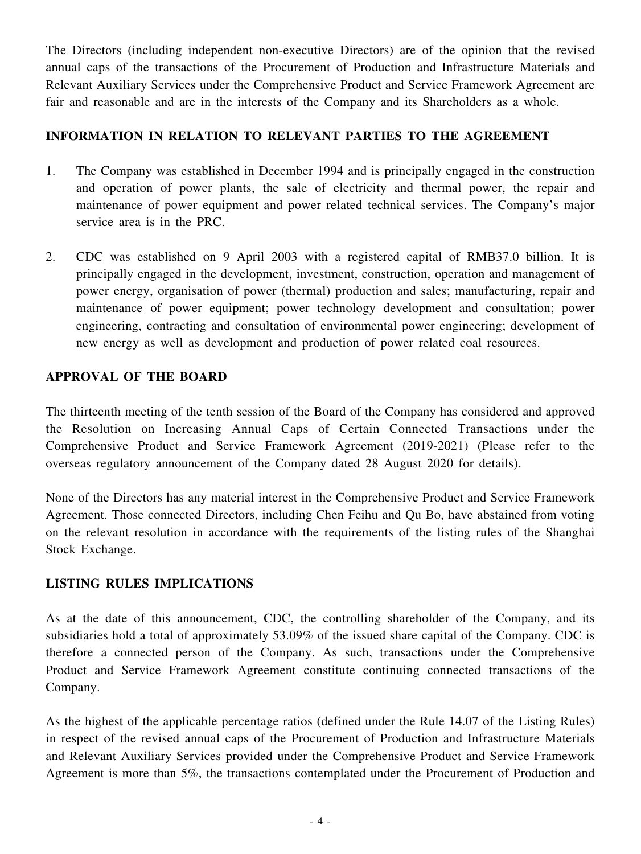The Directors (including independent non-executive Directors) are of the opinion that the revised annual caps of the transactions of the Procurement of Production and Infrastructure Materials and Relevant Auxiliary Services under the Comprehensive Product and Service Framework Agreement are fair and reasonable and are in the interests of the Company and its Shareholders as a whole.

## **INFORMATION IN RELATION TO RELEVANT PARTIES TO THE AGREEMENT**

- 1. The Company was established in December 1994 and is principally engaged in the construction and operation of power plants, the sale of electricity and thermal power, the repair and maintenance of power equipment and power related technical services. The Company's major service area is in the PRC.
- 2. CDC was established on 9 April 2003 with a registered capital of RMB37.0 billion. It is principally engaged in the development, investment, construction, operation and management of power energy, organisation of power (thermal) production and sales; manufacturing, repair and maintenance of power equipment; power technology development and consultation; power engineering, contracting and consultation of environmental power engineering; development of new energy as well as development and production of power related coal resources.

## **APPROVAL OF THE BOARD**

The thirteenth meeting of the tenth session of the Board of the Company has considered and approved the Resolution on Increasing Annual Caps of Certain Connected Transactions under the Comprehensive Product and Service Framework Agreement (2019-2021) (Please refer to the overseas regulatory announcement of the Company dated 28 August 2020 for details).

None of the Directors has any material interest in the Comprehensive Product and Service Framework Agreement. Those connected Directors, including Chen Feihu and Qu Bo, have abstained from voting on the relevant resolution in accordance with the requirements of the listing rules of the Shanghai Stock Exchange.

## **LISTING RULES IMPLICATIONS**

As at the date of this announcement, CDC, the controlling shareholder of the Company, and its subsidiaries hold a total of approximately 53.09% of the issued share capital of the Company. CDC is therefore a connected person of the Company. As such, transactions under the Comprehensive Product and Service Framework Agreement constitute continuing connected transactions of the Company.

As the highest of the applicable percentage ratios (defined under the Rule 14.07 of the Listing Rules) in respect of the revised annual caps of the Procurement of Production and Infrastructure Materials and Relevant Auxiliary Services provided under the Comprehensive Product and Service Framework Agreement is more than 5%, the transactions contemplated under the Procurement of Production and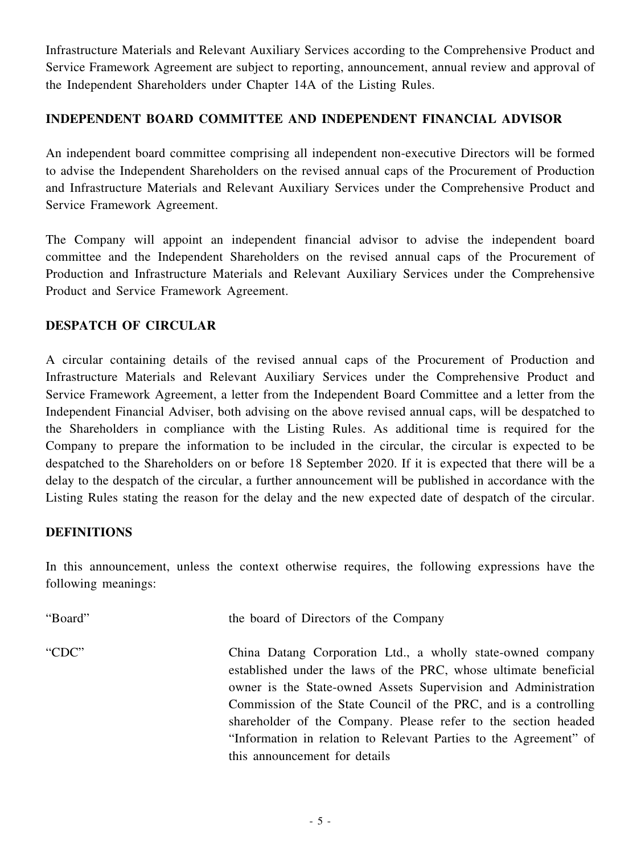Infrastructure Materials and Relevant Auxiliary Services according to the Comprehensive Product and Service Framework Agreement are subject to reporting, announcement, annual review and approval of the Independent Shareholders under Chapter 14A of the Listing Rules.

## **INDEPENDENT BOARD COMMITTEE AND INDEPENDENT FINANCIAL ADVISOR**

An independent board committee comprising all independent non-executive Directors will be formed to advise the Independent Shareholders on the revised annual caps of the Procurement of Production and Infrastructure Materials and Relevant Auxiliary Services under the Comprehensive Product and Service Framework Agreement.

The Company will appoint an independent financial advisor to advise the independent board committee and the Independent Shareholders on the revised annual caps of the Procurement of Production and Infrastructure Materials and Relevant Auxiliary Services under the Comprehensive Product and Service Framework Agreement.

## **DESPATCH OF CIRCULAR**

A circular containing details of the revised annual caps of the Procurement of Production and Infrastructure Materials and Relevant Auxiliary Services under the Comprehensive Product and Service Framework Agreement, a letter from the Independent Board Committee and a letter from the Independent Financial Adviser, both advising on the above revised annual caps, will be despatched to the Shareholders in compliance with the Listing Rules. As additional time is required for the Company to prepare the information to be included in the circular, the circular is expected to be despatched to the Shareholders on or before 18 September 2020. If it is expected that there will be a delay to the despatch of the circular, a further announcement will be published in accordance with the Listing Rules stating the reason for the delay and the new expected date of despatch of the circular.

#### **DEFINITIONS**

In this announcement, unless the context otherwise requires, the following expressions have the following meanings:

| "Board" | the board of Directors of the Company                                                                                                                                                                                                                                                                                                                                                                                                         |
|---------|-----------------------------------------------------------------------------------------------------------------------------------------------------------------------------------------------------------------------------------------------------------------------------------------------------------------------------------------------------------------------------------------------------------------------------------------------|
| "CDC"   | China Datang Corporation Ltd., a wholly state-owned company<br>established under the laws of the PRC, whose ultimate beneficial<br>owner is the State-owned Assets Supervision and Administration<br>Commission of the State Council of the PRC, and is a controlling<br>shareholder of the Company. Please refer to the section headed<br>"Information in relation to Relevant Parties to the Agreement" of<br>this announcement for details |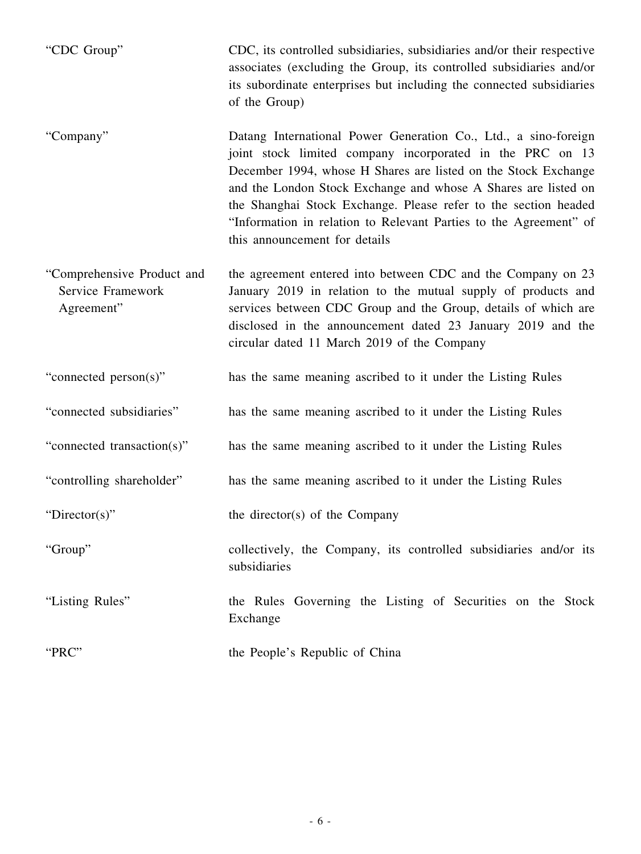"CDC Group" CDC, its controlled subsidiaries, subsidiaries and/or their respective associates (excluding the Group, its controlled subsidiaries and/or its subordinate enterprises but including the connected subsidiaries of the Group)

- "Company" Datang International Power Generation Co., Ltd., a sino-foreign joint stock limited company incorporated in the PRC on 13 December 1994, whose H Shares are listed on the Stock Exchange and the London Stock Exchange and whose A Shares are listed on the Shanghai Stock Exchange. Please refer to the section headed "Information in relation to Relevant Parties to the Agreement" of this announcement for details
- "Comprehensive Product and Service Framework Agreement" the agreement entered into between CDC and the Company on 23 January 2019 in relation to the mutual supply of products and services between CDC Group and the Group, details of which are disclosed in the announcement dated 23 January 2019 and the circular dated 11 March 2019 of the Company
- "connected person(s)" has the same meaning ascribed to it under the Listing Rules
- "connected subsidiaries" has the same meaning ascribed to it under the Listing Rules
- "connected transaction(s)" has the same meaning ascribed to it under the Listing Rules
- "controlling shareholder" has the same meaning ascribed to it under the Listing Rules

"Director(s)" the director(s) of the Company

"Group" collectively, the Company, its controlled subsidiaries and/or its subsidiaries

"Listing Rules" the Rules Governing the Listing of Securities on the Stock Exchange

"PRC" the People's Republic of China